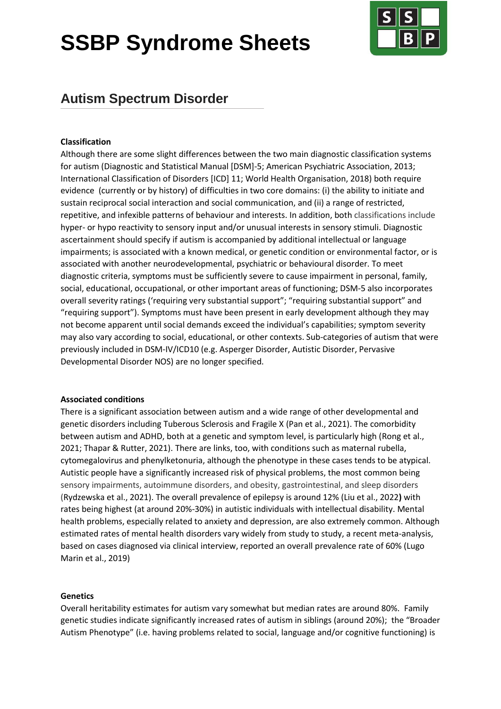# **SSBP Syndrome Sheets**



# **Autism Spectrum Disorder**

# **Classification**

Although there are some slight differences between the two main diagnostic classification systems for autism (Diagnostic and Statistical Manual [DSM]-5; American Psychiatric Association, 2013; International Classification of Disorders [ICD] 11; World Health Organisation, 2018) both require evidence (currently or by history) of difficulties in two core domains: (i) the ability to initiate and sustain reciprocal social interaction and social communication, and (ii) a range of restricted, repetitive, and infexible patterns of behaviour and interests. In addition, both classifications include hyper- or hypo reactivity to sensory input and/or unusual interests in sensory stimuli. Diagnostic ascertainment should specify if autism is accompanied by additional intellectual or language impairments; is associated with a known medical, or genetic condition or environmental factor, or is associated with another neurodevelopmental, psychiatric or behavioural disorder. To meet diagnostic criteria, symptoms must be sufficiently severe to cause impairment in personal, family, social, educational, occupational, or other important areas of functioning; DSM-5 also incorporates overall severity ratings ('requiring very substantial support"; "requiring substantial support" and "requiring support"). Symptoms must have been present in early development although they may not become apparent until social demands exceed the individual's capabilities; symptom severity may also vary according to social, educational, or other contexts. Sub-categories of autism that were previously included in DSM-IV/ICD10 (e.g. Asperger Disorder, Autistic Disorder, Pervasive Developmental Disorder NOS) are no longer specified.

# **Associated conditions**

There is a significant association between autism and a wide range of other developmental and genetic disorders including Tuberous Sclerosis and Fragile X (Pan et al., 2021). The comorbidity between autism and ADHD, both at a genetic and symptom level, is particularly high (Rong et al., 2021; Thapar & Rutter, 2021). There are links, too, with conditions such as maternal rubella, cytomegalovirus and phenylketonuria, although the phenotype in these cases tends to be atypical. Autistic people have a significantly increased risk of physical problems, the most common being sensory impairments, autoimmune disorders, and obesity, gastrointestinal, and sleep disorders (Rydzewska et al., 2021). The overall prevalence of epilepsy is around 12% (Liu et al., 2022**)** with rates being highest (at around 20%-30%) in autistic individuals with intellectual disability. Mental health problems, especially related to anxiety and depression, are also extremely common. Although estimated rates of mental health disorders vary widely from study to study, a recent meta-analysis, based on cases diagnosed via clinical interview, reported an overall prevalence rate of 60% (Lugo Marin et al., 2019)

# **Genetics**

Overall heritability estimates for autism vary somewhat but median rates are around 80%. Family genetic studies indicate significantly increased rates of autism in siblings (around 20%); the "Broader Autism Phenotype" (i.e. having problems related to social, language and/or cognitive functioning) is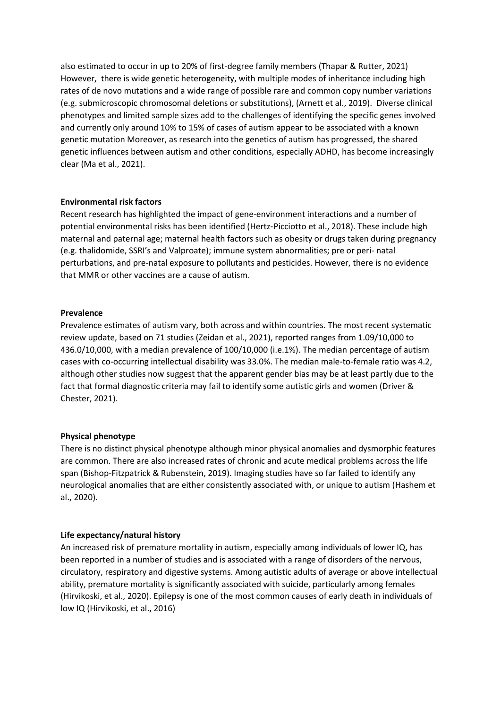also estimated to occur in up to 20% of first-degree family members (Thapar & Rutter, 2021) However, there is wide genetic heterogeneity, with multiple modes of inheritance including high rates of de novo mutations and a wide range of possible rare and common copy number variations (e.g. submicroscopic chromosomal deletions or substitutions), (Arnett et al., 2019). Diverse clinical phenotypes and limited sample sizes add to the challenges of identifying the specific genes involved and currently only around 10% to 15% of cases of autism appear to be associated with a known genetic mutation Moreover, as research into the genetics of autism has progressed, the shared genetic influences between autism and other conditions, especially ADHD, has become increasingly clear (Ma et al., 2021).

# **Environmental risk factors**

Recent research has highlighted the impact of gene-environment interactions and a number of potential environmental risks has been identified (Hertz-Picciotto et al., 2018). These include high maternal and paternal age; maternal health factors such as obesity or drugs taken during pregnancy (e.g. thalidomide, SSRI's and Valproate); immune system abnormalities; pre or peri- natal perturbations, and pre-natal exposure to pollutants and pesticides. However, there is no evidence that MMR or other vaccines are a cause of autism.

#### **Prevalence**

Prevalence estimates of autism vary, both across and within countries. The most recent systematic review update, based on 71 studies (Zeidan et al., 2021), reported ranges from 1.09/10,000 to 436.0/10,000, with a median prevalence of 100/10,000 (i.e.1%). The median percentage of autism cases with co-occurring intellectual disability was 33.0%. The median male-to-female ratio was 4.2, although other studies now suggest that the apparent gender bias may be at least partly due to the fact that formal diagnostic criteria may fail to identify some autistic girls and women (Driver & Chester, 2021).

# **Physical phenotype**

There is no distinct physical phenotype although minor physical anomalies and dysmorphic features are common. There are also increased rates of chronic and acute medical problems across the life span (Bishop-Fitzpatrick & Rubenstein, 2019). Imaging studies have so far failed to identify any neurological anomalies that are either consistently associated with, or unique to autism (Hashem et al., 2020).

# **Life expectancy/natural history**

An increased risk of premature mortality in autism, especially among individuals of lower IQ, has been reported in a number of studies and is associated with a range of disorders of the nervous, circulatory, respiratory and digestive systems. Among autistic adults of average or above intellectual ability, premature mortality is significantly associated with suicide, particularly among females (Hirvikoski, et al., 2020). Epilepsy is one of the most common causes of early death in individuals of low IQ (Hirvikoski, et al., 2016)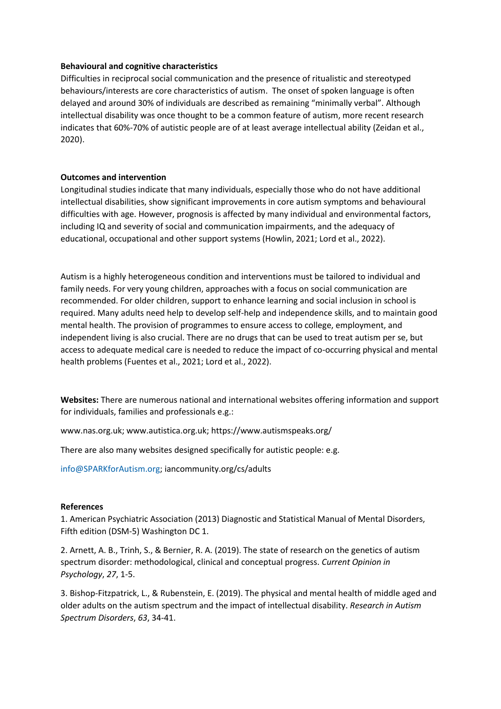### **Behavioural and cognitive characteristics**

Difficulties in reciprocal social communication and the presence of ritualistic and stereotyped behaviours/interests are core characteristics of autism. The onset of spoken language is often delayed and around 30% of individuals are described as remaining "minimally verbal". Although intellectual disability was once thought to be a common feature of autism, more recent research indicates that 60%-70% of autistic people are of at least average intellectual ability (Zeidan et al., 2020).

# **Outcomes and intervention**

Longitudinal studies indicate that many individuals, especially those who do not have additional intellectual disabilities, show significant improvements in core autism symptoms and behavioural difficulties with age. However, prognosis is affected by many individual and environmental factors, including IQ and severity of social and communication impairments, and the adequacy of educational, occupational and other support systems (Howlin, 2021; Lord et al., 2022).

Autism is a highly heterogeneous condition and interventions must be tailored to individual and family needs. For very young children, approaches with a focus on social communication are recommended. For older children, support to enhance learning and social inclusion in school is required. Many adults need help to develop self-help and independence skills, and to maintain good mental health. The provision of programmes to ensure access to college, employment, and independent living is also crucial. There are no drugs that can be used to treat autism per se, but access to adequate medical care is needed to reduce the impact of co-occurring physical and mental health problems (Fuentes et al., 2021; Lord et al., 2022).

**Websites:** There are numerous national and international websites offering information and support for individuals, families and professionals e.g.:

[www.nas.org.uk;](http://www.nas.org.uk/) [www.autistica.org.uk;](http://www.autistica.org.uk/)<https://www.autismspeaks.org/>

There are also many websites designed specifically for autistic people: e.g.

[info@SPARKforAutism.org;](mailto:info@SPARKforAutism.org) iancommunity.org/cs/adults

#### **References**

1. American Psychiatric Association (2013) Diagnostic and Statistical Manual of Mental Disorders, Fifth edition (DSM-5) Washington DC 1.

2. Arnett, A. B., Trinh, S., & Bernier, R. A. (2019). The state of research on the genetics of autism spectrum disorder: methodological, clinical and conceptual progress. *Current Opinion in Psychology*, *27*, 1-5.

3. Bishop-Fitzpatrick, L., & Rubenstein, E. (2019). The physical and mental health of middle aged and older adults on the autism spectrum and the impact of intellectual disability. *Research in Autism Spectrum Disorders*, *63*, 34-41.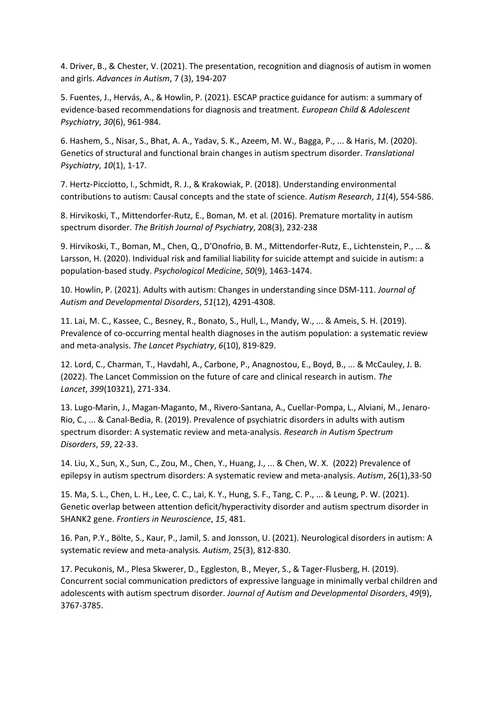4. Driver, B., & Chester, V. (2021). The presentation, recognition and diagnosis of autism in women and girls. *Advances in Autism*, 7 (3), 194-207

5. Fuentes, J., Hervás, A., & Howlin, P. (2021). ESCAP practice guidance for autism: a summary of evidence-based recommendations for diagnosis and treatment. *European Child & Adolescent Psychiatry*, *30*(6), 961-984.

6. Hashem, S., Nisar, S., Bhat, A. A., Yadav, S. K., Azeem, M. W., Bagga, P., ... & Haris, M. (2020). Genetics of structural and functional brain changes in autism spectrum disorder. *Translational Psychiatry*, *10*(1), 1-17.

7. Hertz‐Picciotto, I., Schmidt, R. J., & Krakowiak, P. (2018). Understanding environmental contributions to autism: Causal concepts and the state of science. *Autism Research*, *11*(4), 554-586.

8. Hirvikoski, T., Mittendorfer-Rutz, E., Boman, M. et al. (2016). Premature mortality in autism spectrum disorder. *The British Journal of Psychiatry*, 208(3), 232-238

9. Hirvikoski, T., Boman, M., Chen, Q., D'Onofrio, B. M., Mittendorfer-Rutz, E., Lichtenstein, P., ... & Larsson, H. (2020). Individual risk and familial liability for suicide attempt and suicide in autism: a population-based study. *Psychological Medicine*, *50*(9), 1463-1474.

10. Howlin, P. (2021). Adults with autism: Changes in understanding since DSM-111. *Journal of Autism and Developmental Disorders*, *51*(12), 4291-4308.

11. Lai, M. C., Kassee, C., Besney, R., Bonato, S., Hull, L., Mandy, W., ... & Ameis, S. H. (2019). Prevalence of co-occurring mental health diagnoses in the autism population: a systematic review and meta-analysis. *The Lancet Psychiatry*, *6*(10), 819-829.

12. Lord, C., Charman, T., Havdahl, A., Carbone, P., Anagnostou, E., Boyd, B., ... & McCauley, J. B. (2022). The Lancet Commission on the future of care and clinical research in autism. *The Lancet*, *399*(10321), 271-334.

13. Lugo-Marin, J., Magan-Maganto, M., Rivero-Santana, A., Cuellar-Pompa, L., Alviani, M., Jenaro-Rio, C., ... & Canal-Bedia, R. (2019). Prevalence of psychiatric disorders in adults with autism spectrum disorder: A systematic review and meta-analysis. *Research in Autism Spectrum Disorders*, *59*, 22-33.

14. Liu, X., Sun, X., Sun, C., Zou, M., Chen, Y., Huang, J., ... & Chen, W. X. (2022) Prevalence of epilepsy in autism spectrum disorders: A systematic review and meta-analysis. *Autism*, 26(1),33-50

15. Ma, S. L., Chen, L. H., Lee, C. C., Lai, K. Y., Hung, S. F., Tang, C. P., ... & Leung, P. W. (2021). Genetic overlap between attention deficit/hyperactivity disorder and autism spectrum disorder in SHANK2 gene. *Frontiers in Neuroscience*, *15*, 481.

16. Pan, P.Y., Bölte, S., Kaur, P., Jamil, S. and Jonsson, U. (2021). Neurological disorders in autism: A systematic review and meta-analysis*. Autism*, 25(3), 812-830.

17. Pecukonis, M., Plesa Skwerer, D., Eggleston, B., Meyer, S., & Tager-Flusberg, H. (2019). Concurrent social communication predictors of expressive language in minimally verbal children and adolescents with autism spectrum disorder. *Journal of Autism and Developmental Disorders*, *49*(9), 3767-3785.